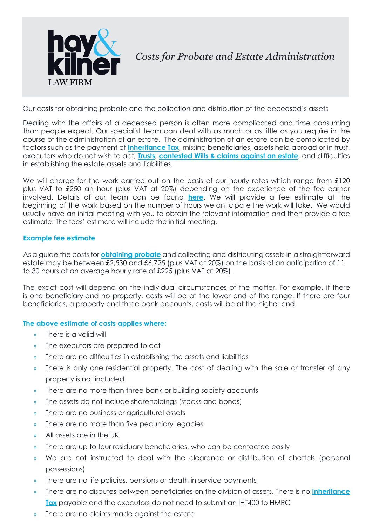

### Our costs for obtaining probate and the collection and distribution of the deceased's assets

Dealing with the affairs of a deceased person is often more complicated and time consuming than people expect. Our specialist team can deal with as much or as little as you require in the course of the administration of an estate. The administration of an estate can be complicated by factors such as the payment of **[Inheritance Tax](http://www.hay-kilner.co.uk/services/inheritance-tax-2/)**, missing beneficiaries, assets held abroad or in trust, executors who do not wish to act, **[Trusts](http://www.hay-kilner.co.uk/services/trusts/)**, **[contested Wills & claims against an estate](http://www.hay-kilner.co.uk/services/claims-relating-to-trusts-wills-and-estates/)**, and difficulties in establishing the estate assets and liabilities.

We will charge for the work carried out on the basis of our hourly rates which range from £120 plus VAT to £250 an hour (plus VAT at 20%) depending on the experience of the fee earner involved. Details of our team can be found **[here](http://www.hay-kilner.co.uk/workareas/probate-estate-administration/)**. We will provide a fee estimate at the beginning of the work based on the number of hours we anticipate the work will take. We would usually have an initial meeting with you to obtain the relevant information and then provide a fee estimate. The fees' estimate will include the initial meeting.

### **Example fee estimate**

As a guide the costs for **[obtaining probate](http://www.hay-kilner.co.uk/services/estate-administration-obtaining-probate/)** and collecting and distributing assets in a straightforward estate may be between £2,530 and £6,725 (plus VAT at 20%) on the basis of an anticipation of 11 to 30 hours at an average hourly rate of £225 (plus VAT at 20%) .

The exact cost will depend on the individual circumstances of the matter. For example, if there is one beneficiary and no property, costs will be at the lower end of the range. If there are four beneficiaries, a property and three bank accounts, costs will be at the higher end.

# **The above estimate of costs applies where:**

- » There is a valid will
- » The executors are prepared to act
- » There are no difficulties in establishing the assets and liabilities
- » There is only one residential property. The cost of dealing with the sale or transfer of any property is not included
- » There are no more than three bank or building society accounts
- » The assets do not include shareholdings (stocks and bonds)
- » There are no business or agricultural assets
- » There are no more than five pecuniary legacies
- » All assets are in the UK
- » There are up to four residuary beneficiaries, who can be contacted easily
- We are not instructed to deal with the clearance or distribution of chattels (personal possessions)
- » There are no life policies, pensions or death in service payments
- » There are no disputes between beneficiaries on the division of assets. There is no **[Inheritance](http://www.hay-kilner.co.uk/services/inheritance-tax-2/) [Tax](http://www.hay-kilner.co.uk/services/inheritance-tax-2/)** payable and the executors do not need to submit an IHT400 to HMRC
- There are no claims made against the estate